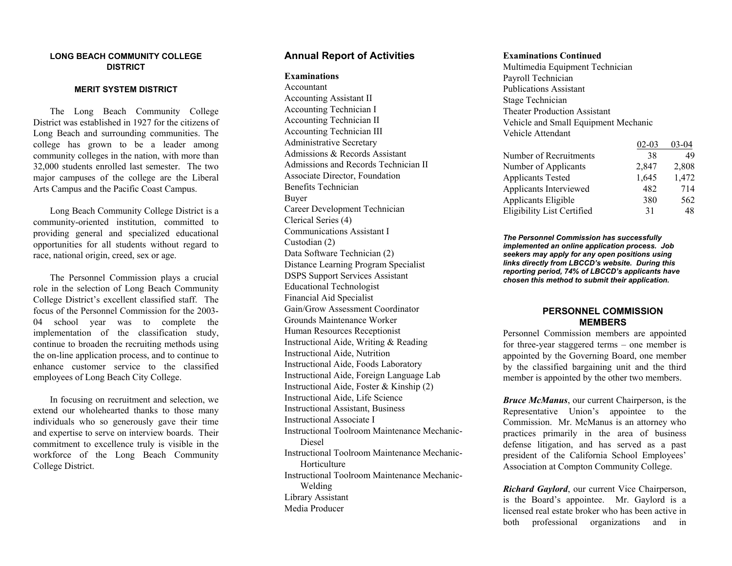#### **LONG BEACH COMMUNITY COLLEGE DISTRICT**

#### **MERIT SYSTEM DISTRICT**

 The Long Beach Community College District was established in 1927 for the citizens of Long Beach and surrounding communities. The college has grown to be a leader among community colleges in the nation, with more than 32,000 students enrolled last semester. The two major campuses of the college are the Liberal Arts Campus and the Pacific Coast Campus.

 Long Beach Community College District is a community-oriented institution, committed to providing general and specialized educational opportunities for all students without regard to race, national origin, creed, sex or age.

 The Personnel Commission plays a crucial role in the selection of Long Beach Community College District's excellent classified staff. The focus of the Personnel Commission for the 2003- 04 school year was to complete the implementation of the classification study, continue to broaden the recruiting methods using the on-line application process, and to continue to enhance customer service to the classified employees of Long Beach City College.

 In focusing on recruitment and selection, we extend our wholehearted thanks to those many individuals who so generously gave their time and expertise to serve on interview boards. Their commitment to excellence truly is visible in the workforce of the Long Beach Community College District.

#### **Annual Report of Activities**

#### **Examinations**

Accountant Accounting Assistant II Accounting Technician I Accounting Technician II Accounting Technician III Administrative Secretary Admissions & Records Assistant Admissions and Records Technician II Associate Director, Foundation Benefits Technician Buyer Career Development Technician Clerical Series (4) Communications Assistant I Custodian (2) Data Software Technician (2) Distance Learning Program Specialist DSPS Support Services Assistant Educational Technologist Financial Aid Specialist Gain/Grow Assessment Coordinator Grounds Maintenance Worker Human Resources Receptionist Instructional Aide, Writing & Reading Instructional Aide, Nutrition Instructional Aide, Foods Laboratory Instructional Aide, Foreign Language Lab Instructional Aide, Foster & Kinship (2) Instructional Aide, Life Science Instructional Assistant, Business Instructional Associate I Instructional Toolroom Maintenance Mechanic-Diesel Instructional Toolroom Maintenance Mechanic-**Horticulture** Instructional Toolroom Maintenance Mechanic-Welding Library Assistant Media Producer

#### **Examinations Continued**

Multimedia Equipment Technician Payroll Technician Publications Assistant Stage Technician Theater Production Assistant Vehicle and Small Equipment Mechanic Vehicle Attendant

| Number of Recruitments<br>38      | 49    |
|-----------------------------------|-------|
| 2,847<br>Number of Applicants     | 2,808 |
| <b>Applicants Tested</b><br>1,645 | 1,472 |
| Applicants Interviewed<br>482     | 714   |
| Applicants Eligible<br>380        | 562   |
| Eligibility List Certified<br>31  | 48    |

*The Personnel Commission has successfully implemented an online application process. Job seekers may apply for any open positions using links directly from LBCCD's website. During this reporting period, 74% of LBCCD's applicants have chosen this method to submit their application.* 

#### **PERSONNEL COMMISSION MEMBERS**

Personnel Commission members are appointed for three-year staggered terms – one member is appointed by the Governing Board, one member by the classified bargaining unit and the third member is appointed by the other two members.

*Bruce McManus*, our current Chairperson, is the Representative Union's appointee to the Commission. Mr. McManus is an attorney who practices primarily in the area of business defense litigation, and has served as a past president of the California School Employees' Association at Compton Community College.

*Richard Gaylord*, our current Vice Chairperson, is the Board's appointee. Mr. Gaylord is a licensed real estate broker who has been active in both professional organizations and in